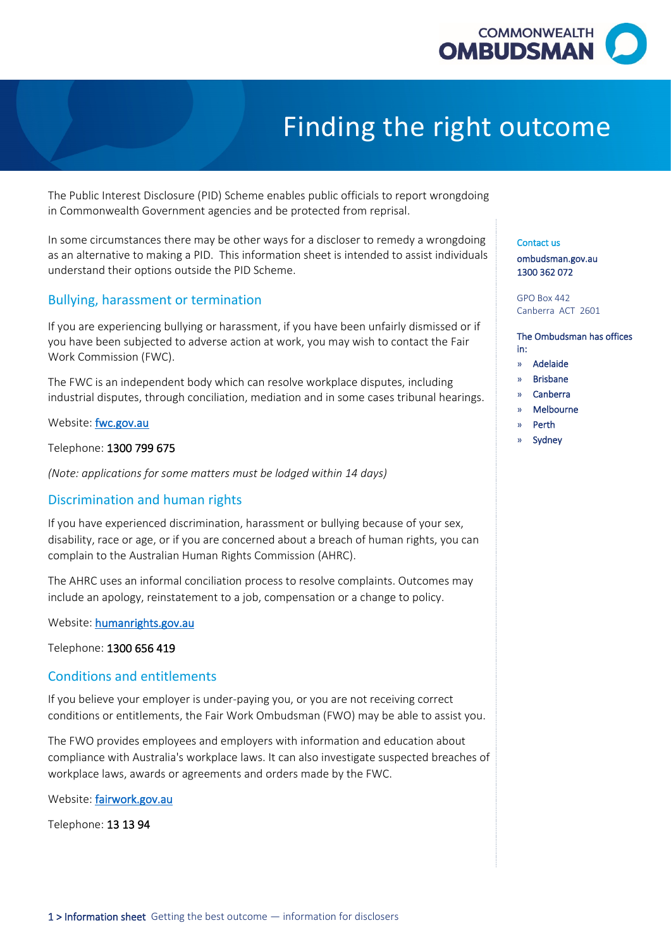

# Finding the right outcome

The Public Interest Disclosure (PID) Scheme enables public officials to report wrongdoing in Commonwealth Government agencies and be protected from reprisal.

 In some circumstances there may be other ways for a discloser to remedy a wrongdoing as an alternative to making a PID. This information sheet is intended to assist individuals understand their options outside the PID Scheme.

## Bullying, harassment or termination

 you have been subjected to adverse action at work, you may wish to contact the Fair If you are experiencing bullying or harassment, if you have been unfairly dismissed or if Work Commission (FWC).

The FWC is an independent body which can resolve workplace disputes, including industrial disputes, through conciliation, mediation and in some cases tribunal hearings.

Website: fwc.gov.au

Telephone: 1300 799 675

*(Note: applications for some matters must be lodged within 14 days)* 

## Discrimination and human rights

 If you have experienced discrimination, harassment or bullying because of your sex, disability, race or age, or if you are concerned about a breach of human rights, you can complain to the Australian Human Rights Commission (AHRC).

 include an apology, reinstatement to a job, compensation or a change to policy. The AHRC uses an informal conciliation process to resolve complaints. Outcomes may

Website: [humanrights.gov.au](http://www.humanrights.gov.au/) 

Telephone: 1300 656 419

## Conditions and entitlements

 If you believe your employer is under-paying you, or you are not receiving correct conditions or entitlements, the Fair Work Ombudsman (FWO) may be able to assist you.

 compliance with Australia's workplace laws. It can also investigate suspected breaches of The FWO provides employees and employers with information and education about workplace laws, awards or agreements and orders made by the FWC.

Website: <mark>fairwork.gov.au</mark><br>Telephone: **13 13 94** 

#### Contact us

[ombudsman.gov.au](http://www.ombudsman.gov.au/)  1300 362 072

 Canberra ACT 2601 GPO Box 442

#### The Ombudsman has offices in:

- » Adelaide
- » Brisbane
- » Canberra
- » Melbourne
- » Perth
- **Sydney**